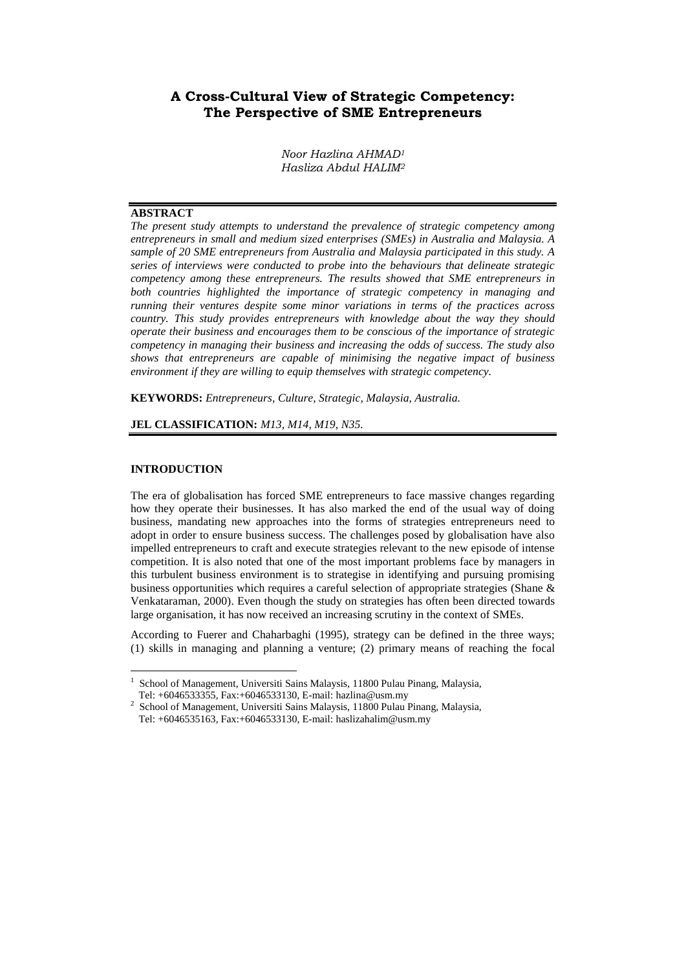# **A Cross-Cultural View of Strategic Competency: The Perspective of SME Entrepreneurs**

*Noor Hazlina AHMAD<sup>1</sup> Hasliza Abdul HALIM<sup>2</sup>*

#### **ABSTRACT**

*The present study attempts to understand the prevalence of strategic competency among entrepreneurs in small and medium sized enterprises (SMEs) in Australia and Malaysia. A sample of 20 SME entrepreneurs from Australia and Malaysia participated in this study. A series of interviews were conducted to probe into the behaviours that delineate strategic competency among these entrepreneurs. The results showed that SME entrepreneurs in both countries highlighted the importance of strategic competency in managing and running their ventures despite some minor variations in terms of the practices across country. This study provides entrepreneurs with knowledge about the way they should operate their business and encourages them to be conscious of the importance of strategic competency in managing their business and increasing the odds of success. The study also shows that entrepreneurs are capable of minimising the negative impact of business environment if they are willing to equip themselves with strategic competency.* 

**KEYWORDS:** *Entrepreneurs, Culture, Strategic, Malaysia, Australia.*

#### **JEL CLASSIFICATION:** *M13, M14, M19, N35.*

#### **INTRODUCTION**

 $\overline{a}$ 

The era of globalisation has forced SME entrepreneurs to face massive changes regarding how they operate their businesses. It has also marked the end of the usual way of doing business, mandating new approaches into the forms of strategies entrepreneurs need to adopt in order to ensure business success. The challenges posed by globalisation have also impelled entrepreneurs to craft and execute strategies relevant to the new episode of intense competition. It is also noted that one of the most important problems face by managers in this turbulent business environment is to strategise in identifying and pursuing promising business opportunities which requires a careful selection of appropriate strategies (Shane & Venkataraman, 2000). Even though the study on strategies has often been directed towards large organisation, it has now received an increasing scrutiny in the context of SMEs.

According to Fuerer and Chaharbaghi (1995), strategy can be defined in the three ways; (1) skills in managing and planning a venture; (2) primary means of reaching the focal

<sup>1</sup> School of Management, Universiti Sains Malaysis, 11800 Pulau Pinang, Malaysia, Tel: +6046533355, Fax:+6046533130, E-mail: hazlina@usm.my

<sup>2</sup> School of Management, Universiti Sains Malaysis, 11800 Pulau Pinang, Malaysia, Tel: +6046535163, Fax:+6046533130, E-mail: haslizahalim@usm.my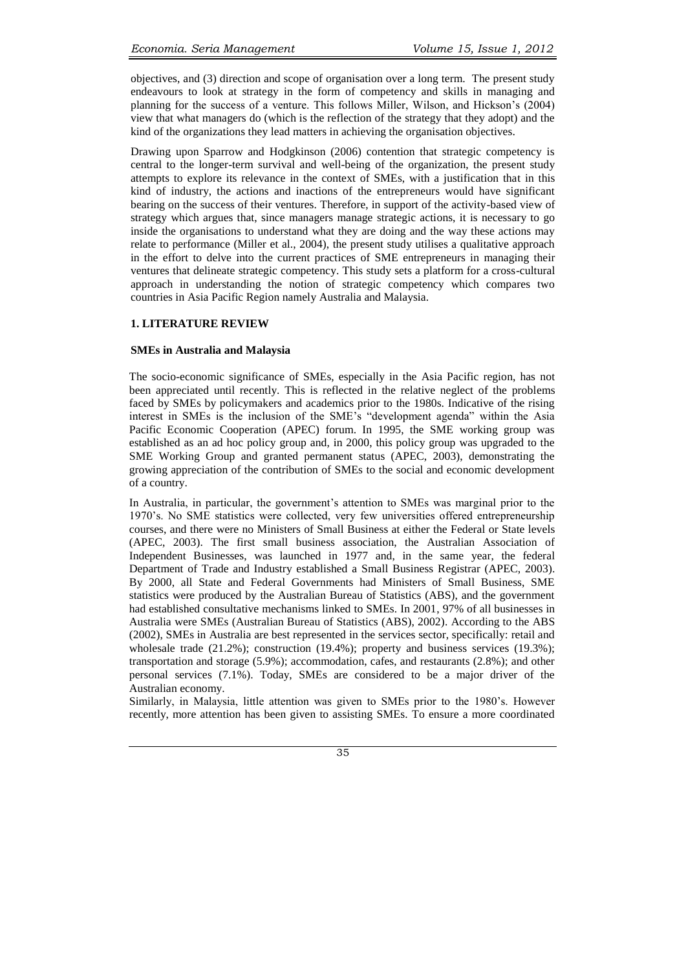objectives, and (3) direction and scope of organisation over a long term. The present study endeavours to look at strategy in the form of competency and skills in managing and planning for the success of a venture. This follows Miller, Wilson, and Hickson's (2004) view that what managers do (which is the reflection of the strategy that they adopt) and the kind of the organizations they lead matters in achieving the organisation objectives.

Drawing upon Sparrow and Hodgkinson (2006) contention that strategic competency is central to the longer-term survival and well-being of the organization, the present study attempts to explore its relevance in the context of SMEs, with a justification that in this kind of industry, the actions and inactions of the entrepreneurs would have significant bearing on the success of their ventures. Therefore, in support of the activity-based view of strategy which argues that, since managers manage strategic actions, it is necessary to go inside the organisations to understand what they are doing and the way these actions may relate to performance (Miller et al., 2004), the present study utilises a qualitative approach in the effort to delve into the current practices of SME entrepreneurs in managing their ventures that delineate strategic competency. This study sets a platform for a cross-cultural approach in understanding the notion of strategic competency which compares two countries in Asia Pacific Region namely Australia and Malaysia.

#### **1. LITERATURE REVIEW**

#### **SMEs in Australia and Malaysia**

The socio-economic significance of SMEs, especially in the Asia Pacific region, has not been appreciated until recently. This is reflected in the relative neglect of the problems faced by SMEs by policymakers and academics prior to the 1980s. Indicative of the rising interest in SMEs is the inclusion of the SME's "development agenda" within the Asia Pacific Economic Cooperation (APEC) forum. In 1995, the SME working group was established as an ad hoc policy group and, in 2000, this policy group was upgraded to the SME Working Group and granted permanent status (APEC, 2003), demonstrating the growing appreciation of the contribution of SMEs to the social and economic development of a country.

In Australia, in particular, the government's attention to SMEs was marginal prior to the 1970's. No SME statistics were collected, very few universities offered entrepreneurship courses, and there were no Ministers of Small Business at either the Federal or State levels (APEC, 2003). The first small business association, the Australian Association of Independent Businesses, was launched in 1977 and, in the same year, the federal Department of Trade and Industry established a Small Business Registrar (APEC, 2003). By 2000, all State and Federal Governments had Ministers of Small Business, SME statistics were produced by the Australian Bureau of Statistics (ABS), and the government had established consultative mechanisms linked to SMEs. In 2001, 97% of all businesses in Australia were SMEs (Australian Bureau of Statistics (ABS), 2002). According to the ABS (2002), SMEs in Australia are best represented in the services sector, specifically: retail and wholesale trade (21.2%); construction (19.4%); property and business services (19.3%); transportation and storage (5.9%); accommodation, cafes, and restaurants (2.8%); and other personal services (7.1%). Today, SMEs are considered to be a major driver of the Australian economy.

Similarly, in Malaysia, little attention was given to SMEs prior to the 1980's. However recently, more attention has been given to assisting SMEs. To ensure a more coordinated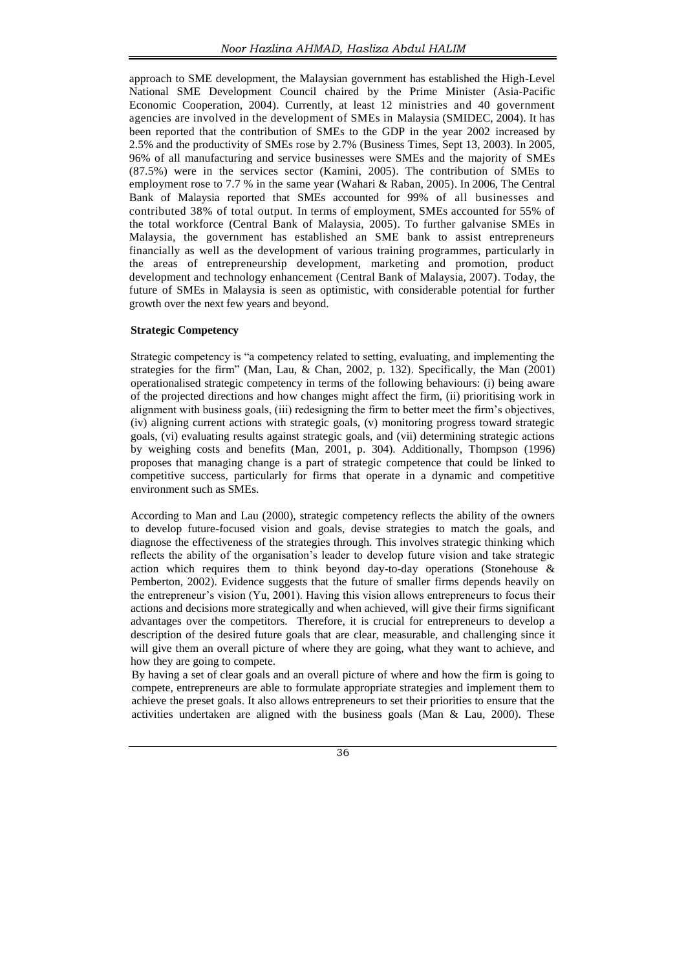approach to SME development, the Malaysian government has established the High-Level National SME Development Council chaired by the Prime Minister (Asia-Pacific Economic Cooperation, 2004). Currently, at least 12 ministries and 40 government agencies are involved in the development of SMEs in Malaysia (SMIDEC, 2004). It has been reported that the contribution of SMEs to the GDP in the year 2002 increased by 2.5% and the productivity of SMEs rose by 2.7% (Business Times, Sept 13, 2003). In 2005, 96% of all manufacturing and service businesses were SMEs and the majority of SMEs (87.5%) were in the services sector (Kamini, 2005). The contribution of SMEs to employment rose to 7.7 % in the same year (Wahari & Raban, 2005). In 2006, The Central Bank of Malaysia reported that SMEs accounted for 99% of all businesses and contributed 38% of total output. In terms of employment, SMEs accounted for 55% of the total workforce (Central Bank of Malaysia, 2005). To further galvanise SMEs in Malaysia, the government has established an SME bank to assist entrepreneurs financially as well as the development of various training programmes, particularly in the areas of entrepreneurship development, marketing and promotion, product development and technology enhancement (Central Bank of Malaysia, 2007). Today, the future of SMEs in Malaysia is seen as optimistic, with considerable potential for further growth over the next few years and beyond.

#### **Strategic Competency**

Strategic competency is "a competency related to setting, evaluating, and implementing the strategies for the firm" (Man, Lau, & Chan, 2002, p. 132). Specifically, the Man (2001) operationalised strategic competency in terms of the following behaviours: (i) being aware of the projected directions and how changes might affect the firm, (ii) prioritising work in alignment with business goals, (iii) redesigning the firm to better meet the firm's objectives, (iv) aligning current actions with strategic goals, (v) monitoring progress toward strategic goals, (vi) evaluating results against strategic goals, and (vii) determining strategic actions by weighing costs and benefits (Man, 2001, p. 304). Additionally, Thompson (1996) proposes that managing change is a part of strategic competence that could be linked to competitive success, particularly for firms that operate in a dynamic and competitive environment such as SMEs.

According to Man and Lau (2000), strategic competency reflects the ability of the owners to develop future-focused vision and goals, devise strategies to match the goals, and diagnose the effectiveness of the strategies through. This involves strategic thinking which reflects the ability of the organisation's leader to develop future vision and take strategic action which requires them to think beyond day-to-day operations (Stonehouse & Pemberton, 2002). Evidence suggests that the future of smaller firms depends heavily on the entrepreneur's vision (Yu, 2001). Having this vision allows entrepreneurs to focus their actions and decisions more strategically and when achieved, will give their firms significant advantages over the competitors. Therefore, it is crucial for entrepreneurs to develop a description of the desired future goals that are clear, measurable, and challenging since it will give them an overall picture of where they are going, what they want to achieve, and how they are going to compete.

By having a set of clear goals and an overall picture of where and how the firm is going to compete, entrepreneurs are able to formulate appropriate strategies and implement them to achieve the preset goals. It also allows entrepreneurs to set their priorities to ensure that the activities undertaken are aligned with the business goals (Man & Lau, 2000). These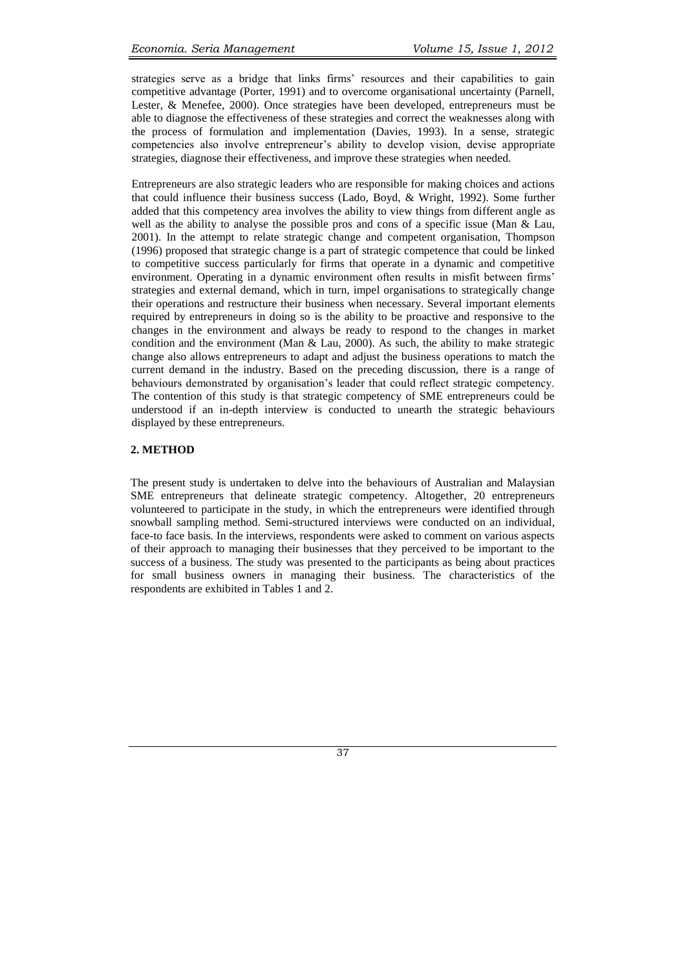strategies serve as a bridge that links firms' resources and their capabilities to gain competitive advantage (Porter, 1991) and to overcome organisational uncertainty (Parnell, Lester, & Menefee, 2000). Once strategies have been developed, entrepreneurs must be able to diagnose the effectiveness of these strategies and correct the weaknesses along with the process of formulation and implementation (Davies, 1993). In a sense, strategic competencies also involve entrepreneur's ability to develop vision, devise appropriate strategies, diagnose their effectiveness, and improve these strategies when needed.

Entrepreneurs are also strategic leaders who are responsible for making choices and actions that could influence their business success (Lado, Boyd, & Wright, 1992). Some further added that this competency area involves the ability to view things from different angle as well as the ability to analyse the possible pros and cons of a specific issue (Man & Lau, 2001). In the attempt to relate strategic change and competent organisation, Thompson (1996) proposed that strategic change is a part of strategic competence that could be linked to competitive success particularly for firms that operate in a dynamic and competitive environment. Operating in a dynamic environment often results in misfit between firms' strategies and external demand, which in turn, impel organisations to strategically change their operations and restructure their business when necessary. Several important elements required by entrepreneurs in doing so is the ability to be proactive and responsive to the changes in the environment and always be ready to respond to the changes in market condition and the environment (Man  $& Lau$ , 2000). As such, the ability to make strategic change also allows entrepreneurs to adapt and adjust the business operations to match the current demand in the industry. Based on the preceding discussion, there is a range of behaviours demonstrated by organisation's leader that could reflect strategic competency. The contention of this study is that strategic competency of SME entrepreneurs could be understood if an in-depth interview is conducted to unearth the strategic behaviours displayed by these entrepreneurs.

#### **2. METHOD**

The present study is undertaken to delve into the behaviours of Australian and Malaysian SME entrepreneurs that delineate strategic competency. Altogether, 20 entrepreneurs volunteered to participate in the study, in which the entrepreneurs were identified through snowball sampling method. Semi-structured interviews were conducted on an individual, face-to face basis. In the interviews, respondents were asked to comment on various aspects of their approach to managing their businesses that they perceived to be important to the success of a business. The study was presented to the participants as being about practices for small business owners in managing their business. The characteristics of the respondents are exhibited in Tables 1 and 2.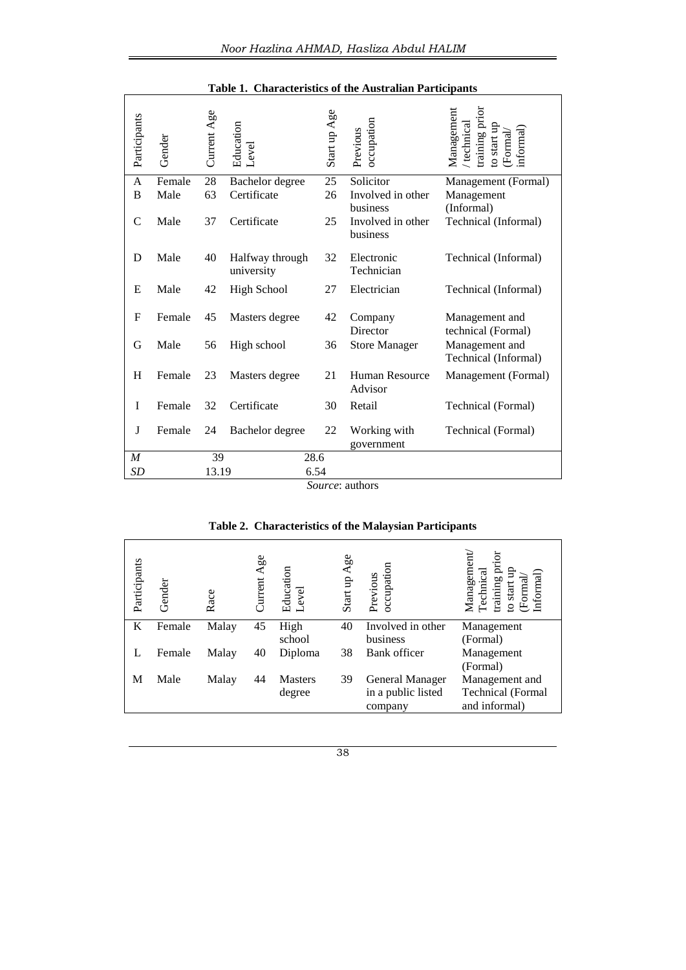| Participants     | Gender | Current Age | Education<br>_evel            | Start up Age | occupation<br>Previous           | Management<br>raining prior<br>technical<br>o start u<br>nformal<br>Formal |
|------------------|--------|-------------|-------------------------------|--------------|----------------------------------|----------------------------------------------------------------------------|
| A                | Female | 28          | Bachelor degree               | 25           | Solicitor                        | Management (Formal)                                                        |
| B                | Male   | 63          | Certificate                   | 26           | Involved in other<br>business    | Management<br>(Informal)                                                   |
| $\mathsf{C}$     | Male   | 37          | Certificate                   | 25           | Involved in other<br>business    | Technical (Informal)                                                       |
| D                | Male   | 40          | Halfway through<br>university | 32           | Electronic<br>Technician         | Technical (Informal)                                                       |
| E                | Male   | 42          | <b>High School</b>            | 27           | Electrician                      | Technical (Informal)                                                       |
| $\mathbf F$      | Female | 45          | Masters degree                | 42           | Company<br>Director              | Management and<br>technical (Formal)                                       |
| G                | Male   | 56          | High school                   | 36           | <b>Store Manager</b>             | Management and<br>Technical (Informal)                                     |
| H                | Female | 23          | Masters degree                | 21           | <b>Human Resource</b><br>Advisor | Management (Formal)                                                        |
| I                | Female | 32          | Certificate                   | 30           | Retail                           | Technical (Formal)                                                         |
| J                | Female | 24          | Bachelor degree               | 22           | Working with<br>government       | Technical (Formal)                                                         |
| $\boldsymbol{M}$ |        | 39          |                               | 28.6         |                                  |                                                                            |
| SD               |        | 13.19       |                               | 6.54         |                                  |                                                                            |

#### **Table 1. Characteristics of the Australian Participants**

*Source*: authors

#### Technical<br>training prior Management/  $M$ anagement/ training prior Current Age Start up Age Participants Previous occupation Education Level to start up to start up (Formal/ Informal) Gender Race K Female Malay 45 High 40 Involved in other Management school<br>Diploma business (Formal) L Female Malay 40 Diploma 38 Bank officer Management (Formal) M Male Malay 44 Masters 39 General Manager Management and degree in a public listed Technical (Formal company and informal)

#### **Table 2. Characteristics of the Malaysian Participants**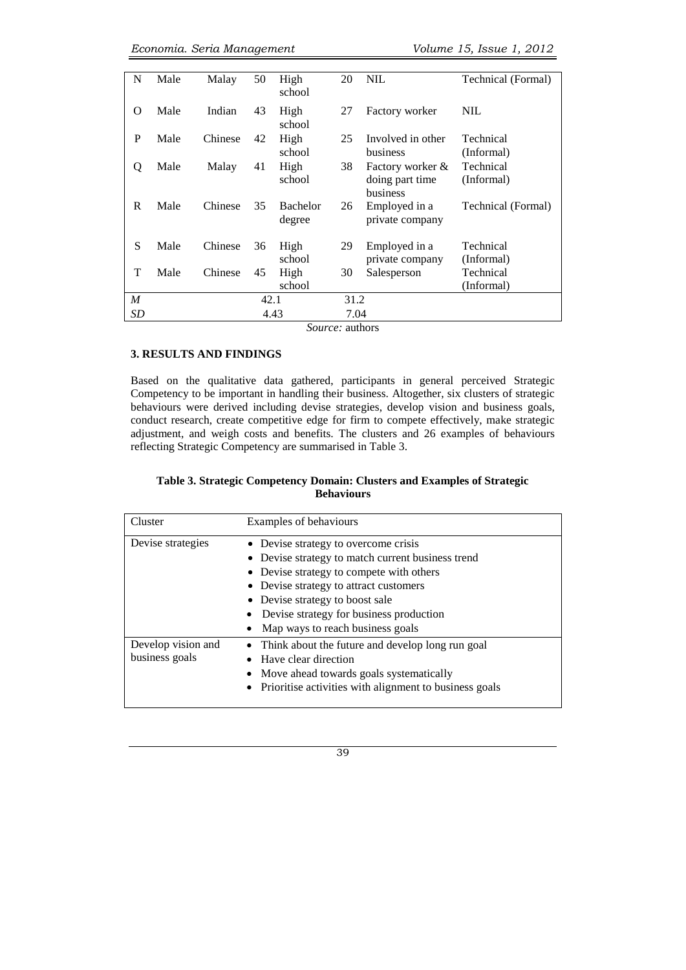| N              | Male | Malay   | 50 | High<br>school            | 20   | <b>NIL</b>                                      | Technical (Formal)      |
|----------------|------|---------|----|---------------------------|------|-------------------------------------------------|-------------------------|
| $\Omega$       | Male | Indian  | 43 | High<br>school            | 27   | Factory worker                                  | NIL                     |
| P              | Male | Chinese | 42 | High<br>school            | 25   | Involved in other<br>business                   | Technical<br>(Informal) |
| Q              | Male | Malay   | 41 | High<br>school            | 38   | Factory worker &<br>doing part time<br>business | Technical<br>(Informal) |
| R              | Male | Chinese | 35 | <b>Bachelor</b><br>degree | 26   | Employed in a<br>private company                | Technical (Formal)      |
| S              | Male | Chinese | 36 | High<br>school            | 29   | Employed in a<br>private company                | Technical<br>(Informal) |
| T              | Male | Chinese | 45 | High<br>school            | 30   | Salesperson                                     | Technical<br>(Informal) |
| $\overline{M}$ |      | 42.1    |    |                           | 31.2 |                                                 |                         |
| <b>SD</b>      |      | 4.43    |    |                           | 7.04 |                                                 |                         |

*Source:* authors

## **3. RESULTS AND FINDINGS**

Based on the qualitative data gathered, participants in general perceived Strategic Competency to be important in handling their business. Altogether, six clusters of strategic behaviours were derived including devise strategies, develop vision and business goals, conduct research, create competitive edge for firm to compete effectively, make strategic adjustment, and weigh costs and benefits. The clusters and 26 examples of behaviours reflecting Strategic Competency are summarised in Table 3.

## **Table 3. Strategic Competency Domain: Clusters and Examples of Strategic Behaviours**

| Cluster                              | Examples of behaviours                                                                                                                                                                                                                                                                                |
|--------------------------------------|-------------------------------------------------------------------------------------------------------------------------------------------------------------------------------------------------------------------------------------------------------------------------------------------------------|
| Devise strategies                    | • Devise strategy to overcome crisis<br>• Devise strategy to match current business trend<br>• Devise strategy to compete with others<br>• Devise strategy to attract customers<br>• Devise strategy to boost sale<br>• Devise strategy for business production<br>• Map ways to reach business goals |
| Develop vision and<br>business goals | • Think about the future and develop long run goal<br>• Have clear direction<br>• Move ahead towards goals systematically<br>• Prioritise activities with alignment to business goals                                                                                                                 |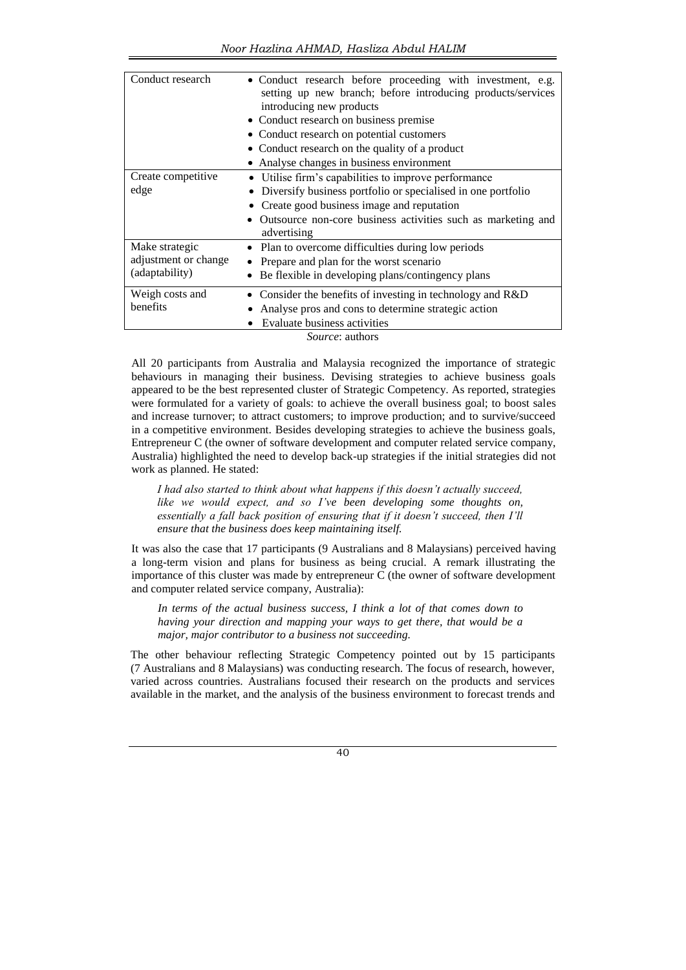| Conduct research                                         | • Conduct research before proceeding with investment, e.g.<br>setting up new branch; before introducing products/services<br>introducing new products<br>• Conduct research on business premise<br>• Conduct research on potential customers<br>• Conduct research on the quality of a product<br>• Analyse changes in business environment |
|----------------------------------------------------------|---------------------------------------------------------------------------------------------------------------------------------------------------------------------------------------------------------------------------------------------------------------------------------------------------------------------------------------------|
| Create competitive<br>edge                               | • Utilise firm's capabilities to improve performance<br>Diversify business portfolio or specialised in one portfolio<br>Create good business image and reputation<br>Outsource non-core business activities such as marketing and<br>advertising                                                                                            |
| Make strategic<br>adjustment or change<br>(adaptability) | • Plan to overcome difficulties during low periods<br>Prepare and plan for the worst scenario<br>Be flexible in developing plans/contingency plans                                                                                                                                                                                          |
| Weigh costs and<br>benefits                              | Consider the benefits of investing in technology and R&D<br>Analyse pros and cons to determine strategic action<br>Evaluate business activities<br>C <b>.</b>                                                                                                                                                                               |

*Source*: authors

All 20 participants from Australia and Malaysia recognized the importance of strategic behaviours in managing their business. Devising strategies to achieve business goals appeared to be the best represented cluster of Strategic Competency. As reported, strategies were formulated for a variety of goals: to achieve the overall business goal; to boost sales and increase turnover; to attract customers; to improve production; and to survive/succeed in a competitive environment. Besides developing strategies to achieve the business goals, Entrepreneur C (the owner of software development and computer related service company, Australia) highlighted the need to develop back-up strategies if the initial strategies did not work as planned. He stated:

*I had also started to think about what happens if this doesn't actually succeed, like we would expect, and so I've been developing some thoughts on, essentially a fall back position of ensuring that if it doesn't succeed, then I'll ensure that the business does keep maintaining itself.* 

It was also the case that 17 participants (9 Australians and 8 Malaysians) perceived having a long-term vision and plans for business as being crucial. A remark illustrating the importance of this cluster was made by entrepreneur C (the owner of software development and computer related service company, Australia):

*In terms of the actual business success, I think a lot of that comes down to having your direction and mapping your ways to get there, that would be a major, major contributor to a business not succeeding.*

The other behaviour reflecting Strategic Competency pointed out by 15 participants (7 Australians and 8 Malaysians) was conducting research. The focus of research, however, varied across countries. Australians focused their research on the products and services available in the market, and the analysis of the business environment to forecast trends and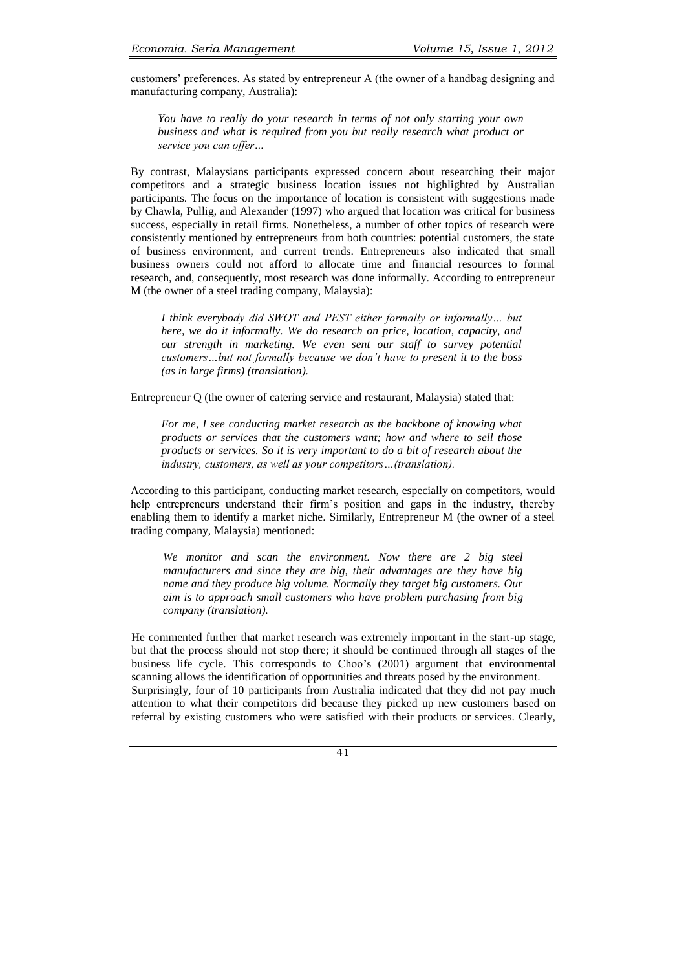customers' preferences. As stated by entrepreneur A (the owner of a handbag designing and manufacturing company, Australia):

*You have to really do your research in terms of not only starting your own business and what is required from you but really research what product or service you can offer…*

By contrast, Malaysians participants expressed concern about researching their major competitors and a strategic business location issues not highlighted by Australian participants. The focus on the importance of location is consistent with suggestions made by Chawla, Pullig, and Alexander (1997) who argued that location was critical for business success, especially in retail firms. Nonetheless, a number of other topics of research were consistently mentioned by entrepreneurs from both countries: potential customers, the state of business environment, and current trends. Entrepreneurs also indicated that small business owners could not afford to allocate time and financial resources to formal research, and, consequently, most research was done informally. According to entrepreneur M (the owner of a steel trading company, Malaysia):

*I think everybody did SWOT and PEST either formally or informally… but here, we do it informally. We do research on price, location, capacity, and our strength in marketing. We even sent our staff to survey potential customers…but not formally because we don't have to present it to the boss (as in large firms) (translation).*

Entrepreneur Q (the owner of catering service and restaurant, Malaysia) stated that:

*For me, I see conducting market research as the backbone of knowing what products or services that the customers want; how and where to sell those products or services. So it is very important to do a bit of research about the industry, customers, as well as your competitors…(translation).* 

According to this participant, conducting market research, especially on competitors, would help entrepreneurs understand their firm's position and gaps in the industry, thereby enabling them to identify a market niche. Similarly, Entrepreneur M (the owner of a steel trading company, Malaysia) mentioned:

*We monitor and scan the environment. Now there are 2 big steel manufacturers and since they are big, their advantages are they have big name and they produce big volume. Normally they target big customers. Our aim is to approach small customers who have problem purchasing from big company (translation).*

He commented further that market research was extremely important in the start-up stage, but that the process should not stop there; it should be continued through all stages of the business life cycle. This corresponds to Choo's (2001) argument that environmental scanning allows the identification of opportunities and threats posed by the environment. Surprisingly, four of 10 participants from Australia indicated that they did not pay much attention to what their competitors did because they picked up new customers based on referral by existing customers who were satisfied with their products or services. Clearly,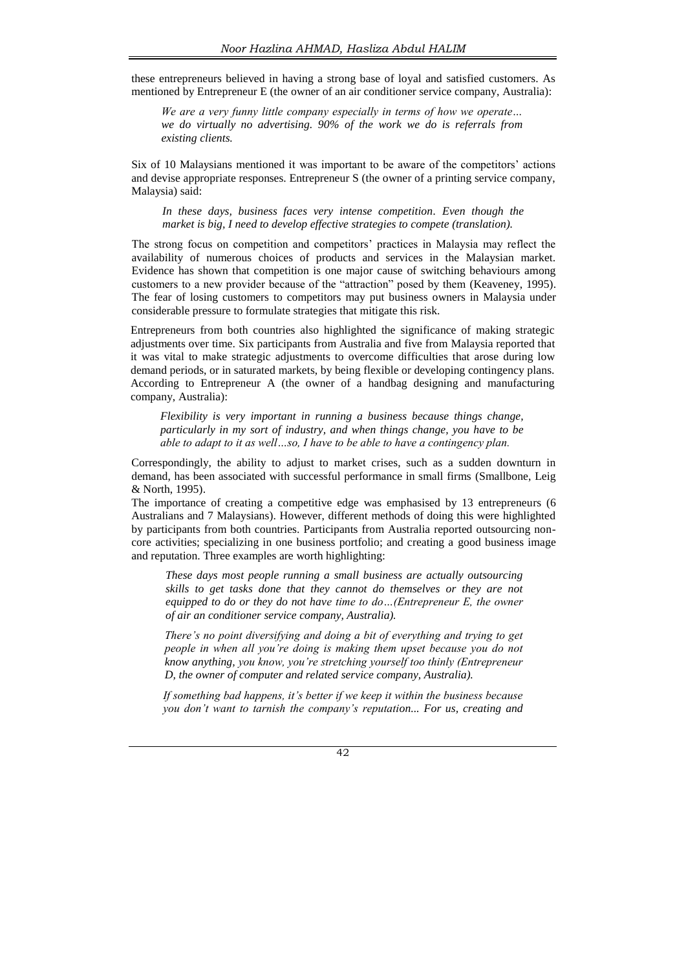these entrepreneurs believed in having a strong base of loyal and satisfied customers. As mentioned by Entrepreneur E (the owner of an air conditioner service company, Australia):

*We are a very funny little company especially in terms of how we operate… we do virtually no advertising. 90% of the work we do is referrals from existing clients.*

Six of 10 Malaysians mentioned it was important to be aware of the competitors' actions and devise appropriate responses. Entrepreneur S (the owner of a printing service company, Malaysia) said:

*In these days, business faces very intense competition. Even though the market is big, I need to develop effective strategies to compete (translation).*

The strong focus on competition and competitors' practices in Malaysia may reflect the availability of numerous choices of products and services in the Malaysian market. Evidence has shown that competition is one major cause of switching behaviours among customers to a new provider because of the "attraction" posed by them (Keaveney, 1995). The fear of losing customers to competitors may put business owners in Malaysia under considerable pressure to formulate strategies that mitigate this risk.

Entrepreneurs from both countries also highlighted the significance of making strategic adjustments over time. Six participants from Australia and five from Malaysia reported that it was vital to make strategic adjustments to overcome difficulties that arose during low demand periods, or in saturated markets, by being flexible or developing contingency plans. According to Entrepreneur A (the owner of a handbag designing and manufacturing company, Australia):

*Flexibility is very important in running a business because things change, particularly in my sort of industry, and when things change, you have to be able to adapt to it as well…so, I have to be able to have a contingency plan.*

Correspondingly, the ability to adjust to market crises, such as a sudden downturn in demand, has been associated with successful performance in small firms (Smallbone, Leig & North, 1995).

The importance of creating a competitive edge was emphasised by 13 entrepreneurs (6 Australians and 7 Malaysians). However, different methods of doing this were highlighted by participants from both countries. Participants from Australia reported outsourcing noncore activities; specializing in one business portfolio; and creating a good business image and reputation. Three examples are worth highlighting:

*These days most people running a small business are actually outsourcing skills to get tasks done that they cannot do themselves or they are not equipped to do or they do not have time to do…(Entrepreneur E, the owner of air an conditioner service company, Australia).*

*There's no point diversifying and doing a bit of everything and trying to get people in when all you're doing is making them upset because you do not know anything, you know, you're stretching yourself too thinly (Entrepreneur D, the owner of computer and related service company, Australia).*

*If something bad happens, it's better if we keep it within the business because you don't want to tarnish the company's reputation... For us, creating and*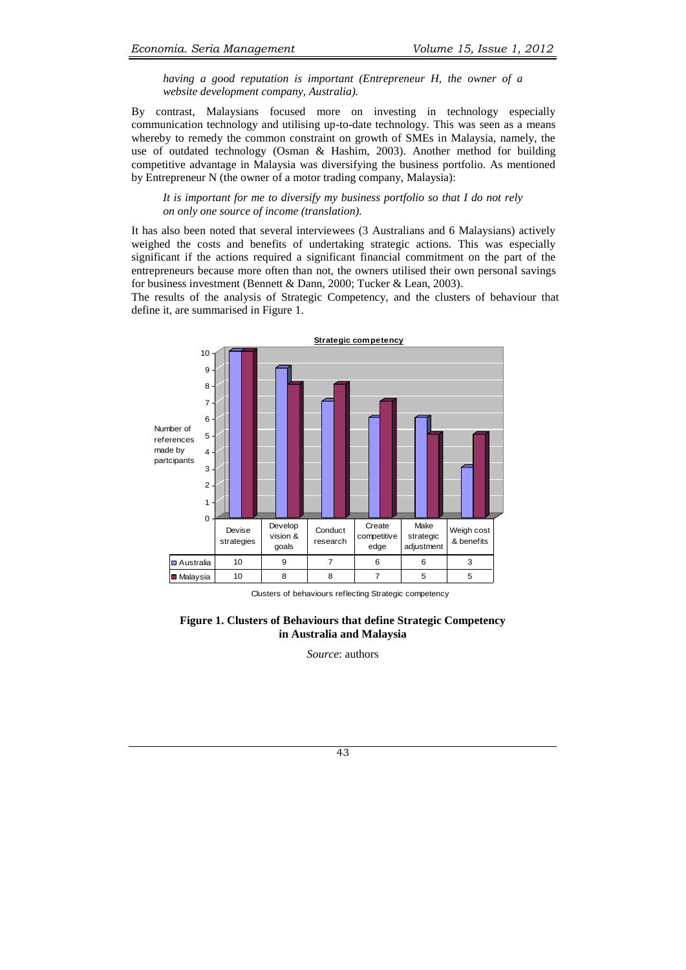*having a good reputation is important (Entrepreneur H, the owner of a website development company, Australia).*

By contrast, Malaysians focused more on investing in technology especially communication technology and utilising up-to-date technology. This was seen as a means whereby to remedy the common constraint on growth of SMEs in Malaysia, namely, the use of outdated technology (Osman & Hashim, 2003). Another method for building competitive advantage in Malaysia was diversifying the business portfolio. As mentioned by Entrepreneur N (the owner of a motor trading company, Malaysia):

*It is important for me to diversify my business portfolio so that I do not rely on only one source of income (translation).* 

It has also been noted that several interviewees (3 Australians and 6 Malaysians) actively weighed the costs and benefits of undertaking strategic actions. This was especially significant if the actions required a significant financial commitment on the part of the entrepreneurs because more often than not, the owners utilised their own personal savings for business investment (Bennett & Dann, 2000; Tucker & Lean, 2003).

The results of the analysis of Strategic Competency, and the clusters of behaviour that define it, are summarised in Figure 1.



Clusters of behaviours reflecting Strategic competency

**Figure 1. Clusters of Behaviours that define Strategic Competency in Australia and Malaysia**

*Source*: authors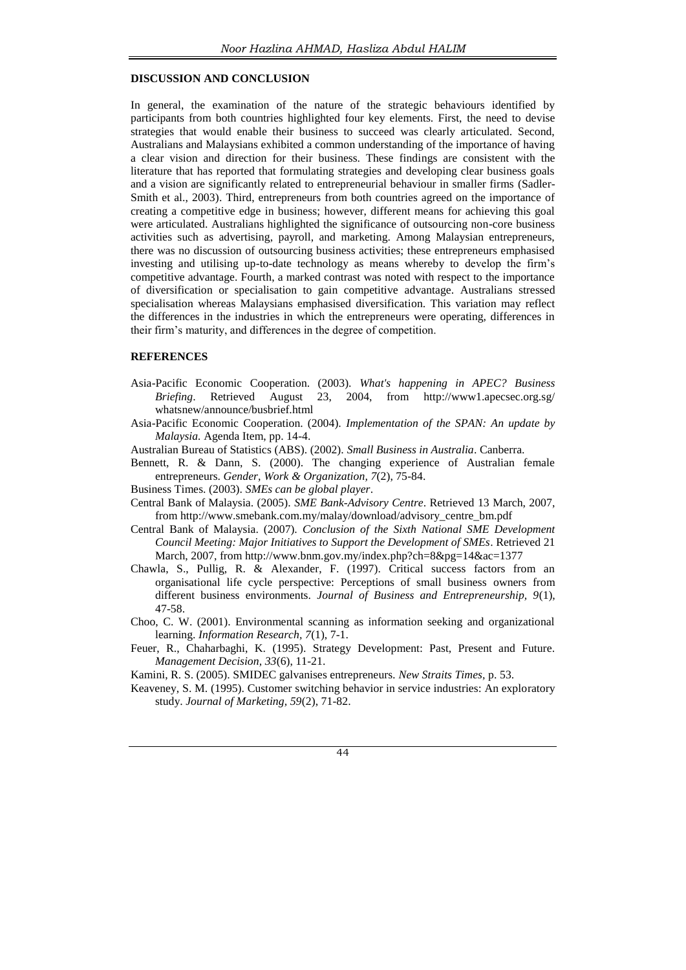## **DISCUSSION AND CONCLUSION**

In general, the examination of the nature of the strategic behaviours identified by participants from both countries highlighted four key elements. First, the need to devise strategies that would enable their business to succeed was clearly articulated. Second, Australians and Malaysians exhibited a common understanding of the importance of having a clear vision and direction for their business. These findings are consistent with the literature that has reported that formulating strategies and developing clear business goals and a vision are significantly related to entrepreneurial behaviour in smaller firms (Sadler-Smith et al., 2003). Third, entrepreneurs from both countries agreed on the importance of creating a competitive edge in business; however, different means for achieving this goal were articulated. Australians highlighted the significance of outsourcing non-core business activities such as advertising, payroll, and marketing. Among Malaysian entrepreneurs, there was no discussion of outsourcing business activities; these entrepreneurs emphasised investing and utilising up-to-date technology as means whereby to develop the firm's competitive advantage. Fourth, a marked contrast was noted with respect to the importance of diversification or specialisation to gain competitive advantage. Australians stressed specialisation whereas Malaysians emphasised diversification. This variation may reflect the differences in the industries in which the entrepreneurs were operating, differences in their firm's maturity, and differences in the degree of competition.

#### **REFERENCES**

- Asia-Pacific Economic Cooperation. (2003). *What's happening in APEC? Business Briefing*. Retrieved August 23, 2004, from [http://www1.apecsec.org.sg/](http://www1.apecsec.org.sg/whatsnew/announce/busbrief.html) [whatsnew/announce/busbrief.html](http://www1.apecsec.org.sg/whatsnew/announce/busbrief.html)
- Asia-Pacific Economic Cooperation. (2004). *Implementation of the SPAN: An update by Malaysia.* Agenda Item, pp. 14-4.
- Australian Bureau of Statistics (ABS). (2002). *Small Business in Australia*. Canberra.
- Bennett, R. & Dann, S. (2000). The changing experience of Australian female entrepreneurs. *Gender, Work & Organization, 7*(2), 75-84.
- Business Times. (2003). *SMEs can be global player*.
- Central Bank of Malaysia. (2005). *SME Bank-Advisory Centre*. Retrieved 13 March, 2007, fro[m http://www.smebank.com.my/malay/download/advisory\\_centre\\_bm.pdf](http://www.smebank.com.my/malay/download/advisory_centre_bm.pdf)
- Central Bank of Malaysia. (2007). *Conclusion of the Sixth National SME Development Council Meeting: Major Initiatives to Support the Development of SMEs*. Retrieved 21 March, 2007, fro[m http://www.bnm.gov.my/index.php?ch=8&pg=14&ac=1377](http://www.bnm.gov.my/index.php?ch=8&pg=14&ac=1377)
- Chawla, S., Pullig, R. & Alexander, F. (1997). Critical success factors from an organisational life cycle perspective: Perceptions of small business owners from different business environments. *Journal of Business and Entrepreneurship, 9*(1), 47-58.
- Choo, C. W. (2001). Environmental scanning as information seeking and organizational learning. *Information Research, 7*(1), 7-1.
- Feuer, R., Chaharbaghi, K. (1995). Strategy Development: Past, Present and Future. *Management Decision, 33*(6), 11-21.

Kamini, R. S. (2005). SMIDEC galvanises entrepreneurs*. New Straits Times,* p. 53.

Keaveney, S. M. (1995). Customer switching behavior in service industries: An exploratory study. *Journal of Marketing, 59*(2), 71-82.